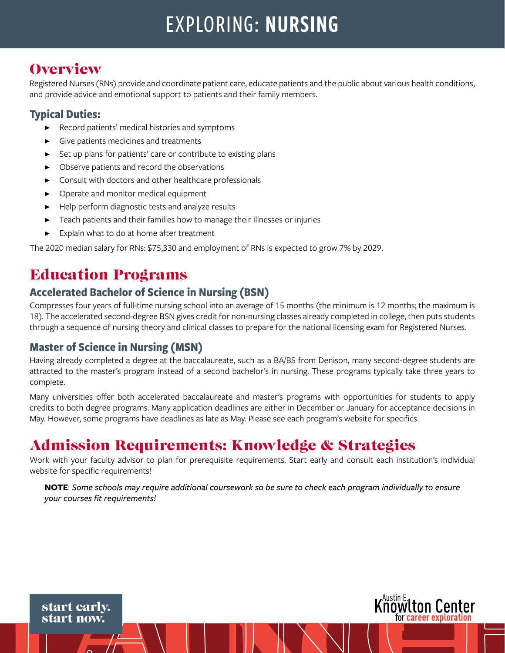# EXPLORING: NURSING

### **Overview**

Registered Nurses (RNs) provide and coordinate patient care, educate patients and the public about various health conditions, and provide advice and emotional support to patients and their family members.

### **Typical Duties:**

- Record patients' medical histories and symptoms
- Give patients medicines and treatments
- Set up plans for patients' care or contribute to existing plans
- Observe patients and record the observations
- Consult with doctors and other healthcare professionals
- Operate and monitor medical equipment
- Help perform diagnostic tests and analyze results
- Teach patients and their families how to manage their illnesses or injuries
- Explain what to do at home after treatment

The 2020 median salary for RNs: \$75,330 and employment of RNs is expected to grow 7% by 2029.

### Education Programs

### **Accelerated Bachelor of Science in Nursing (BSN)**

Compresses four years of full-time nursing school into an average of 15 months (the minimum is 12 months; the maximum is 18). The accelerated second-degree BSN gives credit for non-nursing classes already completed in college, then puts students through a sequence of nursing theory and clinical classes to prepare for the national licensing exam for Registered Nurses.

#### **Master of Science in Nursing (MSN)**

Having already completed a degree at the baccalaureate, such as a BA/BS from Denison, many second-degree students are attracted to the master's program instead of a second bachelor's in nursing. These programs typically take three years to complete.

Many universities offer both accelerated baccalaureate and master's programs with opportunities for students to apply credits to both degree programs. Many application deadlines are either in December or January for acceptance decisions in May. However, some programs have deadlines as late as May. Please see each program's website for specifics.

### Admission Requirements: Knowledge & Strategies

Work with your faculty advisor to plan for prerequisite requirements. Start early and consult each institution's individual website for specific requirements!

**NOTE**: *Some schools may require additional coursework so be sure to check each program individually to ensure your courses fit requirements!*



start early. start now.